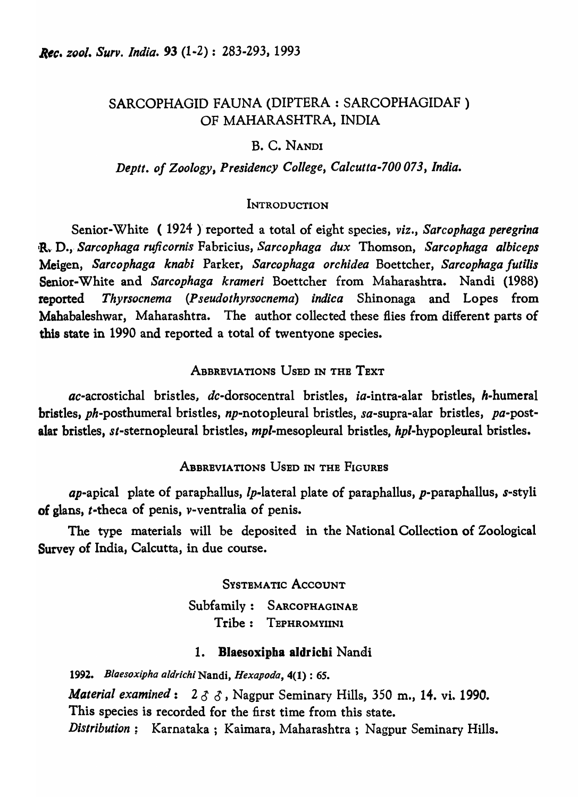# SARCOPHAGID FAUNA (DIPTERA : SARCOPHAGIDAF ) OF MAHARASHTRA, INDIA

## B. C. NANDI

### *Deptt. of Zoology, Presidency College, Calcutta-700 073, India.*

### **INTRODUCTION**

Senior-White (1924) reported a total of eight species, *viz.*, Sarcophaga peregrina R~· D.,· *Sarcophaga ruficornis* Fabricius, *Sarcophaga dux* Thomson, *Sarcophaga albiceps*  Meigen, *Sarcophaga knabi* Parker, *Sarcophaga orchidea* Boettcher, *Sarcophaga futilis*  Senior-White and *Sarcophaga krameri* Boettcher from Maharashtra. Nandi (1988) reported *Thyrsocnema (Pseudothyrsocnema) indica* Shinonaga and Lopes from Mahabaleshwar, Maharashtra. The author collected these flies from different parts of this state in 1990 and reported a total of twentyone species.

## ABBREVIATIONS USED IN THE TEXT

ac-acrostichal bristles, dc-dorsocentral bristles, ia-intra-alar bristles, h-humeral bristles, ph-posthumeral bristles, np-notopleural bristles, sa-supra-alar bristles, pa-postalar bristles, st-sternopleural bristles, *mpl*-mesopleural bristles, *hpl*-hypopleural bristles.

## ABBREVIATIONS USED IN THE FIGURES

*ap*-apical plate of paraphallus,  $lp$ -lateral plate of paraphallus,  $p$ -paraphallus,  $s$ -styli of glans, t-theca of penis, v-ventralia of penis.

The type materials will be deposited in the National Collection of Zoological Survey of India, Calcutta, in due course.

> SYSTEMATIC ACCOUNT Subfamily: SARCOPHAGINAE Tribe: TEPHROMYIlNl

### 1. Blaesoxipba aldricbi Nandi

*1992. Bloesoxipha aldrich;* Nandi, *Hexapoda,* 4(1) : 65. *Material examined:* 2 *is is,* Nagpur Seminary Hills, 350 m., 14. vi. 1990. This species is recorded for the first time from this state. *Distribution;* Karnataka; Kaimara, Maharashtra ; Nagpur Seminary Hills.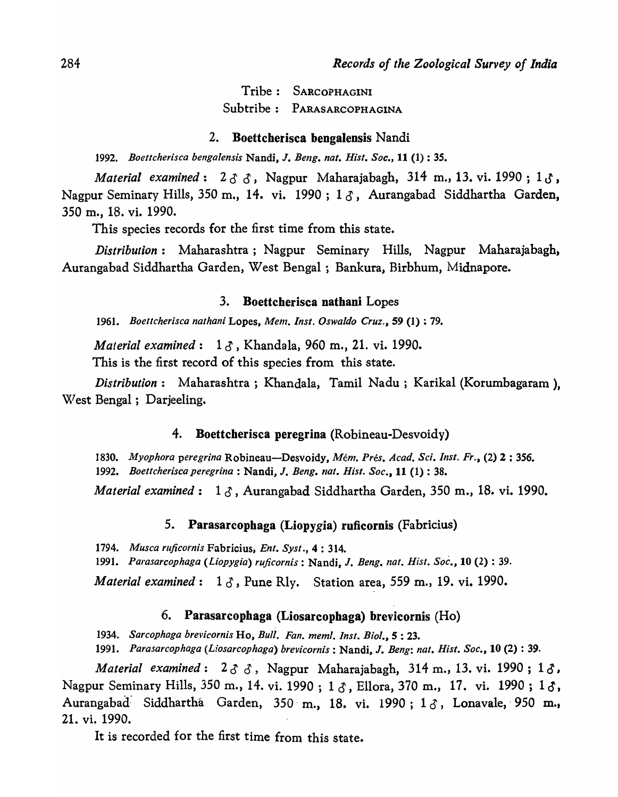Tribe: SARCOPHAGINI Subtribe : PARASARCOPHAGINA

#### 2. Boettcherisca bengalensis Nandi

1992. *Boettcherisca bengalensis* Nandi, J. *Beng. nal. Hisl. Soc.,* 11 (1) : 35.

*Material examined*:  $2 \delta$   $\delta$ , Nagpur Maharajabagh, 314 m., 13. vi. 1990; 1 $\delta$ , Nagpur Seminary Hills, 350 m., 14. vi. 1990; 1 $\delta$ , Aurangabad Siddhartha Garden, 350 m., 18. vi. 1990.

This species records for the first time from this state.

*Distribution:* Maharashtra; Nagpur Seminary Hills, Nagpur Maharajabagh, Aurangabad Siddhartha Garden, West Bengal ; Bankura, Birbhum, Midnapore.

#### 3. Boettcberisca nathani Lopes

1961. *Boettcherisca nathani* Lopes, *Mem. Insl. Oswa/do Cruz.,* 59 (1) : 79.

*Material examined*: 13, Khandala, 960 m., 21. vi. 1990.

This is the first record of this species from this state.

*Distribution:* Maharashtra; Khandala, Tamil Nadu; Karikal (Korumbagaram ), W'est Bengal; Darjeeling.

#### 4. Boettcherisca peregrina (Robineau-Desvoidy)

*1830. Myophora peregrina* Robineau-Desvoidy, *Mem. Pres. Acad. Sci. Insl. Fr.,* (2) 2 : 356. 1992. *Boettcherisca peregrina*: Nandi, J. *Beng. nat. Hist. Soc.*, 11 (1): 38.

*Material examined*:  $1 \delta$ , Aurangabad Siddhartha Garden, 350 m., 18. vi. 1990.

### 5. Parasarcophaga (Liopygia) ruficornis (Fabricius)

1794. *Musca ruficornis* Fabricius, *Ent. Syst.*, 4:314.

1991. *Parasarcophaga (Liopygia) ruficornis* : Nandi, J. *Beng. nat. Hist. Soc.,* 10 (2) : 39.

*Material examined*: 1  $\delta$ , Pune Rly. Station area, 559 m., 19. vi. 1990.

## 6. Parasarcophaga (Liosarcopbaga) brevicornis (Ho)

1934. *Sarcophaga brevicornis* Ho, *Bull. Fan. meml. Inst. Biol.*, 5:23.

1991. *Parasarcophaga (Liosarcophaga) brevicornis* : Nandi, J. *Beng: nat. Hisl. Soc.,* 10 (2) : 39.

*Material examined*:  $2 \delta$   $\delta$ , Nagpur Maharajabagh, 314 m., 13. vi. 1990; 1 $\delta$ , Nagpur Seminary Hills, 350 m., 14. vi. 1990 ; 1  $\delta$ , Ellora, 370 m., 17. vi. 1990 ; 1 $\delta$ , Aurangabad Siddhartha Garden, 350 m., 18. vi. 1990; 1 $\delta$ , Lonavale, 950 m., 21. vi. 1990.

It is recorded for the first time from this state.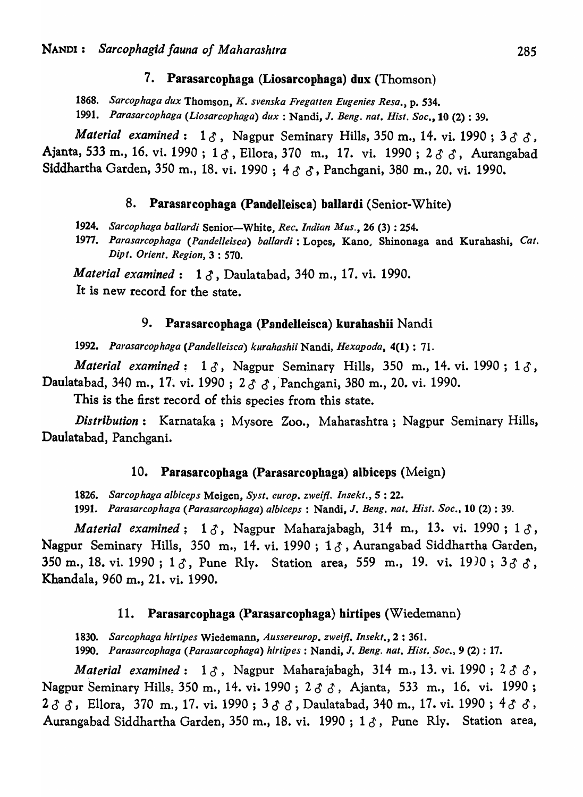#### 7. Parasarcophaga (Liosarcophaga) dux (Thomson)

*1868. Sarcophaga dux* Thomson, *K. svenska Fregatten Eugenie.s Resa.,* p. 534.

*1991. Parasarcophaga (Liosarcophaga) dux:* Nandi, J. *Beng. nat. Hist. Soc.,* 10 (2) : 39.

*Material examined*:  $1 \delta$ , Nagpur Seminary Hills, 350 m., 14. vi. 1990; 3 $\delta$ , Ajanta, 533 m., 16. vi. 1990; 13, Ellora, 370 m., 17. vi. 1990; 233, Aurangabad Siddhartha Garden, 350 m., 18. vi. 1990; 433, Panchgani, 380 m., 20. vi. 1990.

#### 8. Parasarcophaga (Pandelleisca) ballardi (Senior-White)

*1924. Sarcophaga ballardi* Senior-White" *Rec. Indian Mus.,* 26 (3) : 254.

1977. Parasarcophaga (Pandelleisca) ballardi: Lopes, Kano, Shinonaga and Kurahashi, Cat. *Dipt. Orient. Region,* 3 : 570.

*Material examined: 1 0 ,* Daulatabad, 340 m., 17. vi. 1990.

It is new record for the state.

### 9. Parasarcophaga (Pandelleisca) kurahasbii Nandi

*1992. Parasarcophaga (Pandelleisca) kurahashii* Nandi, *Hexapoda,* 4(1) : 71.

*Material examined*:  $1 \delta$ , Nagpur Seminary Hills, 350 m., 14. vi. 1990;  $1 \delta$ , Daulatabad, 340 m., 17. vi. 1990 ;  $2 \, \delta \, \delta$ , Panchgani, 380 m., 20. vi. 1990.

This is the first record of this species from this state.

*Distribution:* Karnataka; Mysore Zoo., Maharashtra; Nagpur Seminary Hills, Daulatabad, Panchgani.

#### 10. Parasarcophaga (Parasarcopbaga) albiceps (Meign)

*1826. Sarcophaga albiceps* Meigen, *Syst. euroPe zweijl. lnsekt.,* 5 : 22.

*1991. Parasarcophaga (Parasarcophaga) a/biceps:* Nandi, J. *Beng. nat. Hisi. Soc.,* 10 (2) : 39.

*Material examined*:  $1 \delta$ , Nagpur Maharajabagh, 314 m., 13. vi. 1990;  $1 \delta$ , Nagpur Seminary Hills, 350 m., 14. vi. 1990 ; 1 *is* , Aurangabad Siddhartha Garden, 350 m., 18. vi. 1990;  $1 \delta$ , Pune Rly. Station area, 559 m., 19. vi. 1930;  $3 \delta \delta$ , Khandala, 960 m., 21. vi. 1990.

#### 11. Parasarcophaga (Parasarcopbaga) hirtipes (Wiedemann)

*1830. Sarcophaga hirtipes* Wiedemann, *Aussereurop. zweijl. lnsekf.,* 2 : 361.

1990. Parasarcophaga (Parasarcophaga) hirtipes : Nandi, J. Beng. nat. Hist. Soc., 9 (2) : 17.

*Material examined:* 1&" Nagpur Maharajabagh, 314 m., 13. vi. 1990 ; 2 *is* 0, Nagpur Seminary Hills, 350 m., 14. vi. 1990 ;  $2 \delta \delta$ , Ajanta, 533 m., 16. vi. 1990; 2  $\delta$   $\delta$ , Ellora, 370 m., 17. vi. 1990 ; 3  $\delta$   $\delta$ , Daulatabad, 340 m., 17. vi. 1990 ; 4  $\delta$   $\delta$ , Aurangabad Siddhartha Garden, 350 m., 18. vi. 1990; 1 $\delta$ , Pune Rly. Station area,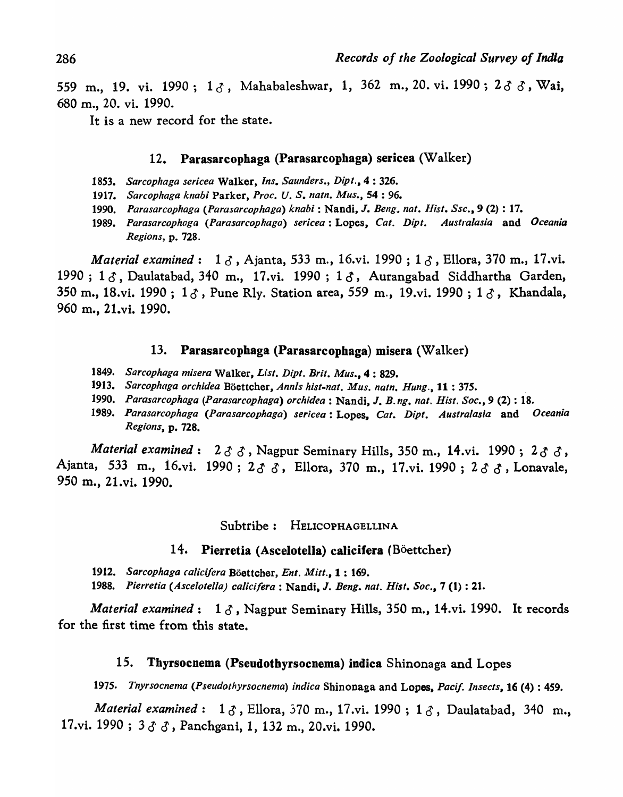559 m., 19. vi. 1990;  $1 \, \delta$ , Mahabaleshwar, 1, 362 m., 20. vi. 1990;  $2 \, \delta$   $\delta$ , Wai, 680 m., 20. vi. 1990.

It is a new record for the state.

## 12. Parasarcopbaga (Parasarcopbaga) sericea (Walker)

- *1853. Sarcophaga sericea* Walker, *Ins. Saunders., Dipl.,* 4 : 326.
- *1917. Sarcophaga knabi* Parker, *Proe. U.* S. *naln. Mus.,* S4 : 96.
- *1990. Parasarcophaga (Parasarcophaga) knab;* : Nandi, J. *Beng .. nat. Hist. Sse.,* 9 (2) : 17.
- *1989. Parasarcophaga (Parasarcophaga) sericea:* Lopes, *Cat. Dipt. Australasia* and *Oceania Regions,* p. 728.

*Material examined*: 1  $\delta$ , Ajanta, 533 m., 16.vi. 1990; 1  $\delta$ , Ellora, 370 m., 17.vi. 1990 ;  $1\delta$ , Daulatabad, 340 m., 17.vi. 1990 ;  $1\delta$ , Aurangabad Siddhartha Garden, 350 m., 18.vi. 1990;  $1\delta$ , Pune Rly. Station area, 559 m., 19.vi. 1990;  $1\delta$ , Khandala, 960 m., 21.vi. 1990.

#### 13. Parasarcopbaga (Parasarcopbaga) misera (Walker)

- *1849. Sarcophaga m;sera* Walker, *List. Dipt. Brit. Mus.,* 4 : 829.
- *1913. Sarcophaga orchidea* Boettcher, *AnnIs hist-nat. Mus. natn. Hung.,* 11 : 375. .
- *1990. Parasarcophaga (Parasarcophaga) orchidea* : Nandi, J. *B. ng. nat. Hist. Soc.,* 9 (2) : 18.
- *1'89. Parasarcophaga (Parasarcophaga) sericea:* Lopes, *Cat. Dipt. Australasia* and *Oceania Regions,* p. 728.

*Material examined*:  $2 \delta \delta$ , Nagpur Seminary Hills, 350 m., 14.vi. 1990;  $2 \delta \delta$ , Ajanta, 533 m., 16.vi. 1990;  $2 \, \sigma \, \sigma$ , Ellora, 370 m., 17.vi. 1990;  $2 \, \sigma \, \sigma$ , Lonavale, 950 m., 21.vi. 1990.

Subtribe: HELICOPHAGELLINA

#### 14. Pierretia (Ascelotella) calicifera (Böettcher)

*1912. Sarcophaga calicifera* Boettcher, *Ent. Mitt.,* 1 : 169.

*1988. Pierretfa (Ascelotel/a) calicifera* : Nandi, J. *Beng. nat. Hist. Soc.,* 7 (I) : 21.

*Material examined*:  $1 \delta$ , Nagpur Seminary Hills, 350 m., 14.vi. 1990. It records for the first time from this state.

### 15. Thyrsocnema (Pseudothyrsocnema) indica Shinonaga and Lopes

*1975. Tnyrsocnema (Pseudothyrsocnema) indica* Shinonaga and Lopes, *Pacif. Insects,* 16 (4) : 459.

*Material examined*: 1  $\delta$ , Ellora, 570 m., 17.vi. 1990; 1  $\delta$ , Daulatabad, 340 m., 17.vi. 1990; 333, Panchgani, 1, 132 m., 20.vi. 1990.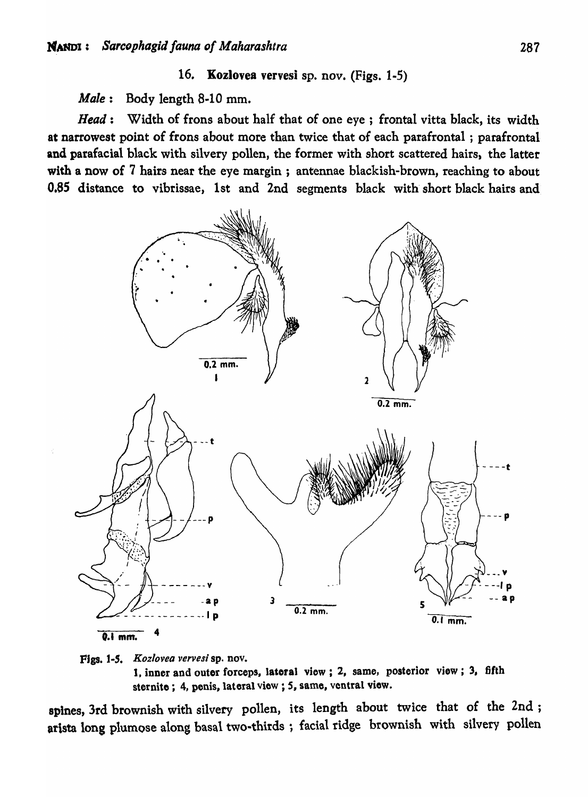## 16. Kozlovea vervesi sp. nov. (Figs. 1-5)

*Male:* Body length 8-10 mm.

*Head:* Width of frons about half that of one eye; frontal vitta black, its width at narrowest point of frons about more than twice that of each parafrontal ; parafrontal and parafacial black with silvery pollen, the former with short scattered hairs, the latter with a now of 7 hairs near the eye margin; antennae blackish-brown, reaching to about 0.85 distance to vibrissae, 1st and 2nd segments black with short black hairs and





spines, 3rd brownish with silvery pollen, its length about twice that of the 2nd; arista long plumose along basal two-thirds; facial ridge brownish with silvery pollen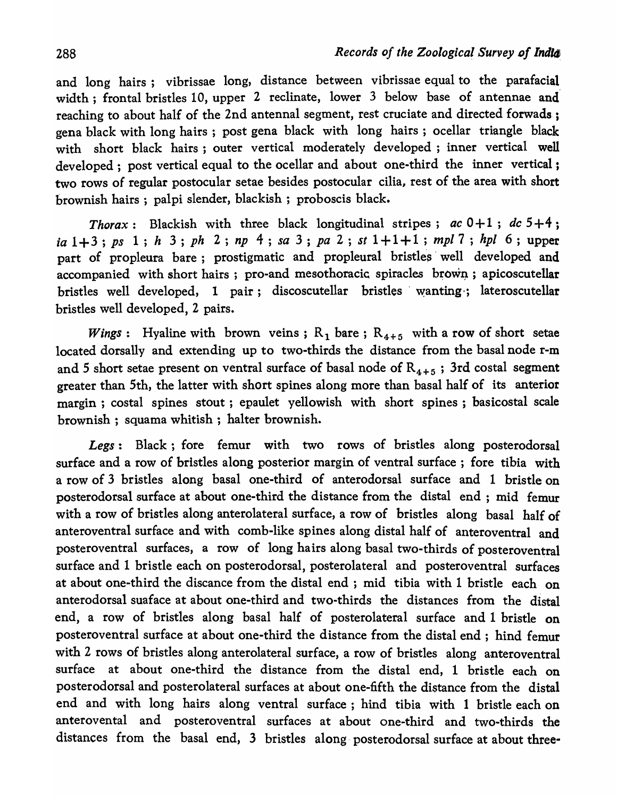and long hairs; vibrissae long, distance between vibrissae equal to the parafacial width; frontal bristles 10, upper 2 reclinate, lower 3 below base of antennae and' reaching to about half of the 2nd antennal segment, rest cruciate and directed forwads ; gena black with long hairs; post gena black with long hairs; ocellar triangle black with short black hairs; outer vertical moderately developed; inner vertical well developed; post vertical equal to the ocellar and about one-third the inner vertical; two rows of regular postocular setae besides postocular cilia, rest of the area with short brownish hairs; palpi slender, blackish; proboscis black.

*Thorax*: Blackish with three black longitudinal stripes;  $ac \ 0+1$ ;  $dc \ 5+4$ ; *ia* 1 + 3 ; *ps* 1; *h* 3; *ph* 2; *np* 4; *sa* 3 ; *pa* 2 ; *st* 1 + 1 + 1 ; *mpl* 7 ; *hpl* 6; upper part of propleura bare; prostigmatic and propleural bristles well developed and accompanied with short hairs; pro-and mesothoracic spiracles brown; apicoscutellar bristles well developed, 1 pair; discoscutellar bristles' wanting·; lateroscutellar bristles well developed, 2 pairs.

*Wings*: Hyaline with brown veins;  $R_1$  bare;  $R_{4+5}$  with a row of short setae located dorsally and extending up to two-thirds the distance from the basal node r-m and 5 short setae present on ventral surface of basal node of  $R_{4+5}$ ; 3rd costal segment greater than 5th, the latter with short spines along more than basal half of its anterior margin; costal spines stout; epaulet yellowish with short spines; basicostal scale brownish; squama whitish; halter brownish.

*Legs:* Black; fore femur with two rows of bristles along posterodorsal surface and a row of bristles along posterior margin of ventral surface ; fore tibia with a row of 3 bristles along basal one-third of anterodorsal surface and 1 bristle on posterodorsal surface at about one-third the distance from the distal end; mid femur with a row of bristles along anterolateral surface, a row of bristles along basal half of anteroventral surface and with comb-like spines along distal half of anteroventral and posteroventral surfaces, a row of long hairs along basal two-thirds of posteroventral surface and 1 bristle each on posterodorsal, posterolateral and posteroventral surfaces at about one-third the discance from the distal end; mid tibia with 1 bristle each on anterodorsal suaface at about one-third and two-thirds the distances from the distal end, a row of bristles along basal half of posterolateral surface and 1 bristle on posteroventral surface at about one-third the distance from the distal end; hind femur with 2 rows of bristles along anterolateral surface, a row of bristles along anteroventral surface at about one-third the distance from the distal end, 1 bristle each on posterodorsal and posterolateral surfaces at about one-fifth the distance from the distal end and with long hairs along ventral surface; hind tibia with 1 bristle each on anterovental and posteroventral surfaces at about one-third and two-thirds the distances from the basal end, 3 bristles along, posterodorsal surface at about three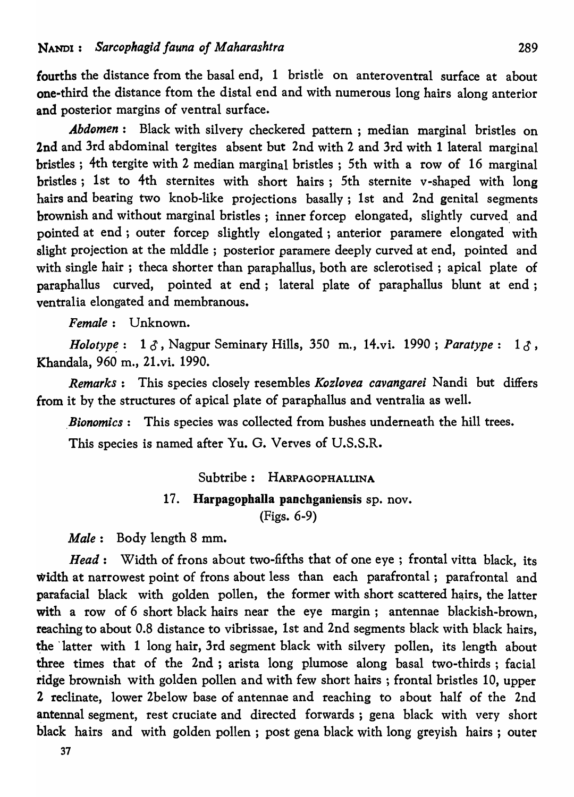fourths the distance from the basal end, 1 bristle on anteroventral surface at about one-third the distance ftom the distal end and with numerous long hairs along anterior and posterior margins of ventral surface.

*Abdomen:* Black with silvery checkered pattern; median marginal bristles on 2nd and 3rd abdominal tergites absent but 2nd with 2 and 3rd with 1 lateral marginal bristles; 4th tergite with 2 median marginal bristles; 5th with a row of 16 marginal bristles; 1st to 4th sternites with short hairs; 5th sternite v-shaped with long hairs and bearing two knob-like projections basally; 1st and 2nd genital segments brownish and without marginal bristles; inner forcep elongated, slightly curved, and pointed at end; outer forcep slightly elongated; anterior paramere elongated with slight projection at the mIddle; posterior paramere deeply curved at end, pointed and with single hair; theca shorter than paraphallus, both are sclerotised; apical plate of paraphallus curved, pointed at end; lateral plate of paraphallus blunt at end; ventralia elongated and membranous.

*Female:* Unknown.

*Holotype*:  $1 \delta$ , Nagpur Seminary Hills, 350 m., 14.vi. 1990; *Paratype*:  $1 \delta$ , Khandala, 960 m., 21.vi. 1990.

*Remarks:* This species closely resembles *Kozlovea cavangarei* Nandi but differs from it by the structures of apical plate of paraphallus and ventralia as well.

*Bionomics*: This species was collected from bushes underneath the hill trees.

This species is named after Yu. G. Verves of U.S.S.R.

Subtribe: HARPAGOPHALLINA

#### 17. Harpagophalla panchganiensis sp. nov.

(Figs. 6-9)

*Male:* Body length 8 mm.

*Head:* Width of frons about two-fifths that of one eye; frontal vitta black, its width at narrowest point of frons about less than each parafrontal; parafrontal and parafacial black with golden pollen, the former with short scattered hairs, the latter with a row of 6 short black hairs near the eye margin; antennae blackish-brown, reaching to about 0.8 distance to vibrissae, 1st and 2nd segments black with black hairs, the latter with 1 long hair, 3rd segment black with silvery pollen, its length about three times that of the 2nd; arista long plumose along basal two-thirds; facial ridge brownish with golden pollen and with few short hairs; frontal bristles 10, upper 2 reclinate, lower 2below base of antennae and reaching to a bout half of the 2nd antennal segment, rest cruciate and directed forwards; gena black with very short black hairs and with golden pollen; post gena black with long greyish hairs; outer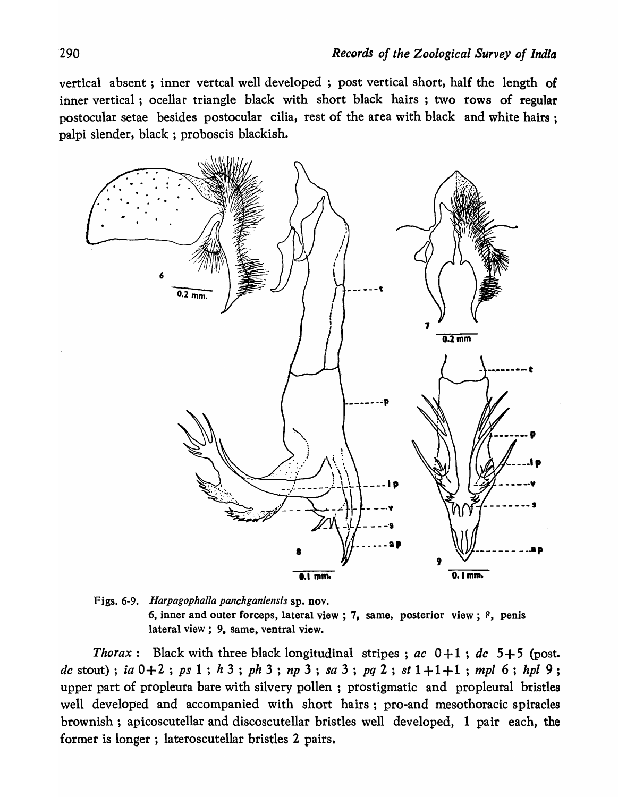vertical absent; inner vertcal well developed; post vertical short, half the length of inner vertical; ocellar triangle black with short black hairs; two rows of regular postocular setae besides postocular cilia, rest of the area with black and white hairs; palpi slender, black; proboscis blackish.



Figs. 6-9. *Harpagophalla panchganiensis* sp. nov. 6, inner and outer forceps, lateral view; 7, same, posterior view;  $\ell$ , penis lateral view; 9, same, ventral view.

*Thorax*: Black with three black longitudinal stripes; *ac*  $0+1$ ; *dc*  $5+5$  (post. *dc* stout); *ia*  $0+2$ ; *ps*  $1$ ; *h*  $3$ ; *ph*  $3$ ; *np*  $3$ ; *sa*  $3$ ; *pq*  $2$ ; *st*  $1+1+1$ ; *mpl*  $6$ ; *hpl*  $9$ ; upper part of propleura bare with silvery pollen; prostigmatic and propleural bristles well developed and accompanied with short hairs; pro-and mesothoracic spiracles brownish; apicoscutellar and discoscutellar bristles well developed, 1 pair each, the former is longer; lateroscutellar bristles 2 pairs,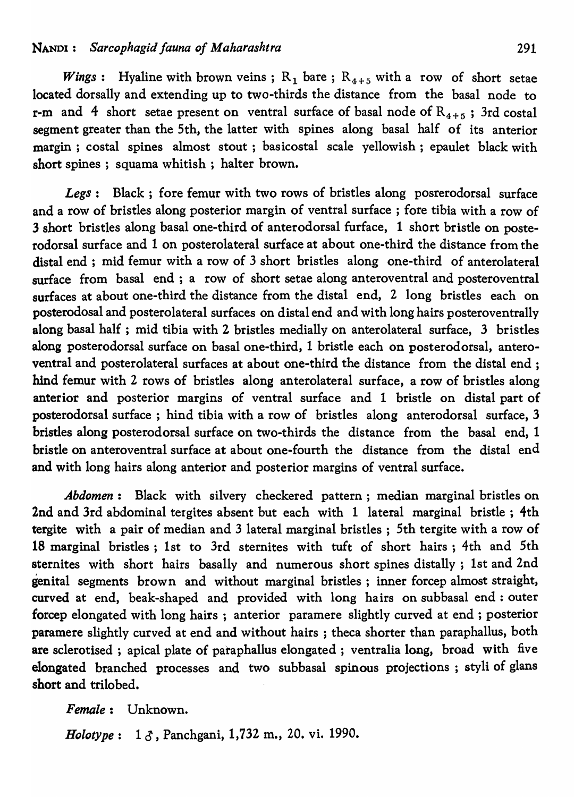*Wings*: Hyaline with brown veins;  $R_1$  bare;  $R_{4+5}$  with a row of short setae located dorsally and extending up to two-thirds the distance from the basal node to r-m and 4 short setae present on ventral surface of basal node of  $R_{4+5}$ ; 3rd costal segment greater than the 5th, the latter with spines along basal half of its anterior margin; costal spines almost stout; basicostal scale yellowish; epaulet black with short spines; squama whitish; halter brown.

*Legs:* Black; fore femur with two rows of bristles along posrerodorsal surface and a row of bristles along posterior margin of ventral surface; fore tibia with a row of 3 short bristles along basal one-third of anterodorsal furface, 1 short bristle on posterodorsal surface and 1 on posterolateral surface at about one-third the distance from the distal end; mid femur with a row of 3 short bristles along one-third of anterolateral surface from basal end; a row of short setae along anteroventral and posteroventral surfaces at about one-third the distance from the distal end, 2 long bristles each on posterodosal and posterolateral surfaces on distal end and with long hairs posteroventrally along basal half; mid tibia with 2 bristles medially on anterolateral surface, 3 bristles along posterodorsal surface on basal one-third, 1 bristle each on posterodorsal, anteroventral and posterolateral surfaces at about one-third the distance from the distal end; hind femur with 2 rows of bristles along anterolateral surface, a row of bristles along anterior and posterior margins of ventral surface and 1 bristle on distal part of posterodorsal surface; hind tibia with a row of bristles along anterodorsal surface, 3 bristles along posterodorsal surface on two-thirds the distance from the basal end, 1 bristle on anteroventral surface at about one-fourth the distance from the distal end and with long hairs along anterior and posterior margins of ventral surface.

*Abdomen:* Black with silvery checkered pattern; median marginal bristles on 2nd and 3rd abdominal tergites absent but each with 1 lateral marginal bristle; 4th tergite with a pair of median and 3 lateral marginal bristles; 5th tergite with a row of 18 marginal bristles; 1st to 3rd sternites with tuft of short hairs; 4th and 5th sternites with short hairs basally and numerous short spines distally; 1st and 2nd genital segments brown and without marginal bristles; inner forcep almost straight, curved at end, beak-shaped and provided with long hairs on subbasal end: outer forcep elongated with long hairs; anterior paramere slightly curved at end; posterior paramere slightly curved at end and without hairs; theca shorter than paraphallus, both are sclerotised ; apical plate of paraphallus elongated; ventralia long, broad with five elongated branched processes and two subbasal spinous projections ; styli of glans short and trilobed.

*Female:* Unknown.

*Holotype*: 1  $\delta$ , Panchgani, 1,732 m., 20. vi. 1990.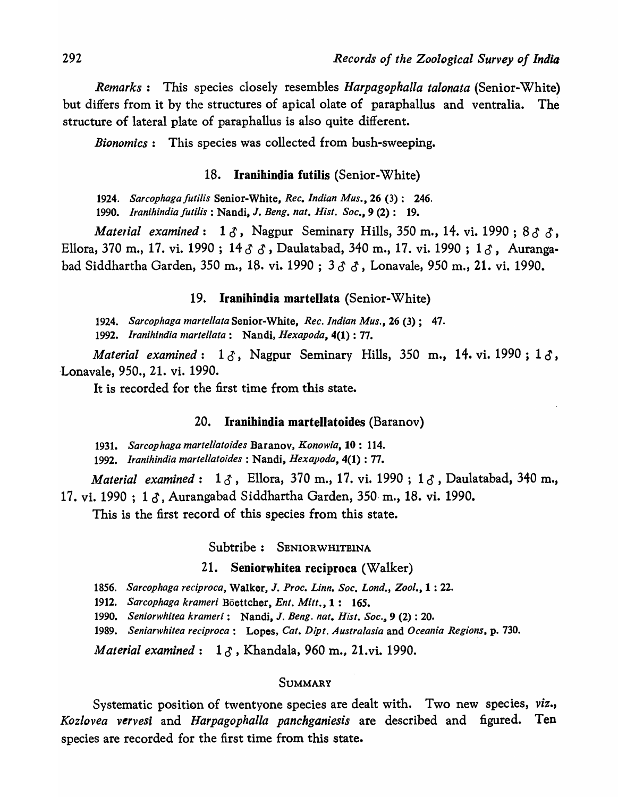*Remarks:* This species closely resembles *HarpagophaUa talonata* (Senior-White) but differs from it by the structures of apical olate of paraphallus and ventralia. The structure of lateral plate of paraphallus is also quite different.

*Bionomics:* This species was collected from bush-sweeping.

#### 18. Iranihindia futilis (Senior-White)

*1924. Sarcophaga JutiJis* Senior-White, *Rec. Indian Mus.,* 26 (3): 246.

*1990. lranihindia Juti/is* : Nandi, J. *Beng. nat. Hisl. Soc.,* 9 (2): 19.

*Material examined*:  $1 \delta$ , Nagpur Seminary Hills, 350 m., 14. vi. 1990; 8 $\delta$ , Ellora, 370 m., 17. vi. 1990; 14  $\delta$   $\delta$ , Daulatabad, 340 m., 17. vi. 1990; 1 $\delta$ , Aurangabad Siddhartha Garden, 350 m., 18. vi. 1990; 3 3 3, Lonavale, 950 m., 21. vi. 1990.

19. Iranihindia martellata (Senior-White)

*1924. Sarcophaga martel/ata* Senior-White, *Rec. Indian Mus.,* 26 (3); 47. *1992. Iranihindia martel/ata:* Nandi, *Hexapoda,* 4(1) : 77.

*Material examined*:  $1 \delta$ , Nagpur Seminary Hills, 350 m., 14. vi. 1990;  $1 \delta$ , ·Lonavale, 950., 21. vi. 1990.

It is recorded for the first time from this state.

#### 20. Iranihindia martellatoides (Baranov)

*1931. Sarcophaga martellatoides* Baranov, *Konowia,* 10: 114.

*1992. Iranihindia martellatoides* : Nandi, *Hexapoda,* 4(1) : 77.

*Material examined*: 13, Ellora, 370 m., 17. vi. 1990; 13, Daulatabad, 340 m., 17. vi. 1990 ; 1 6' , Aurangabad Siddhartha Garden, 350· m., 18. vi. 1990.

This is the first record of this species from this state.

Subtribe: SENIORWHITEINA

#### 21. Seniorwhitea reciproca (Walker)

*1856. Sarcophaga reciproca,* Walker, J. *Proc. Linn. Soc. Lond., Zool.,* 1 : 22.

*1912. Sarcophaga krameri* Boettcher, *Ent. Mitt.,* 1: 165.

*1990. Seniorwhitea krameri:* Nandi, J. *Beng. nat. Hisl.* Soc.~ 9 (2) : 20.

1989. Seniarwhitea reciproca: Lopes, Cat. Dipt. Australasia and Oceania Regions, p. 730.

*Material examined*: 1  $\delta$ , Khandala, 960 m., 21.vi. 1990.

#### SUMMARY

Systematic position of twentyone species are dealt with. Two new species, *viz., Kozlovea vervesi* and *Harpagophalla panchganiesis* are described and figured. Ten species are recorded for the first time from this state.